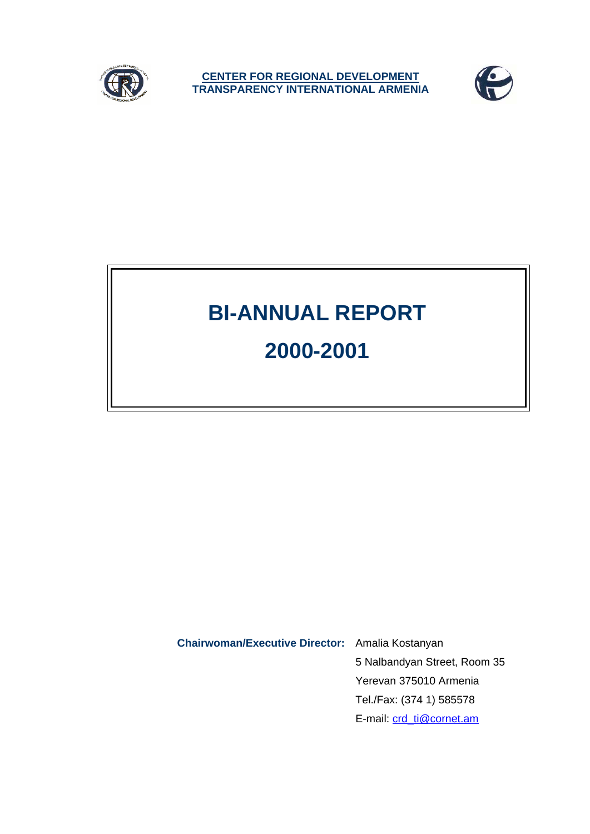

**CENTER FOR REGIONAL DEVELOPMENT TRANSPARENCY INTERNATIONAL ARMENIA**



# **BI-ANNUAL REPORT 2000-2001**

**Chairwoman/Executive Director:** Amalia Kostanyan 5 Nalbandyan Street, Room 35 Yerevan 375010 Armenia Tel./Fax: (374 1) 585578 E-mail: crd\_ti@cornet.am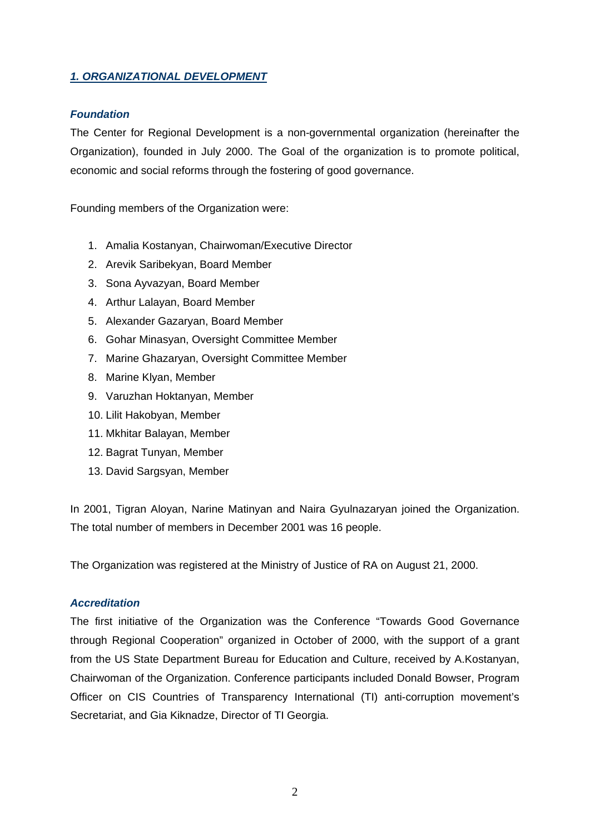## *1. ORGANIZATIONAL DEVELOPMENT*

### *Foundation*

The Center for Regional Development is a non-governmental organization (hereinafter the Organization), founded in July 2000. The Goal of the organization is to promote political, economic and social reforms through the fostering of good governance.

Founding members of the Organization were:

- 1. Amalia Kostanyan, Chairwoman/Executive Director
- 2. Arevik Saribekyan, Board Member
- 3. Sona Ayvazyan, Board Member
- 4. Arthur Lalayan, Board Member
- 5. Alexander Gazaryan, Board Member
- 6. Gohar Minasyan, Oversight Committee Member
- 7. Marine Ghazaryan, Oversight Committee Member
- 8. Marine Klyan, Member
- 9. Varuzhan Hoktanyan, Member
- 10. Lilit Hakobyan, Member
- 11. Mkhitar Balayan, Member
- 12. Bagrat Tunyan, Member
- 13. David Sargsyan, Member

In 2001, Tigran Aloyan, Narine Matinyan and Naira Gyulnazaryan joined the Organization. The total number of members in December 2001 was 16 people.

The Organization was registered at the Ministry of Justice of RA on August 21, 2000.

#### *Accreditation*

The first initiative of the Organization was the Conference "Towards Good Governance through Regional Cooperation" organized in October of 2000, with the support of a grant from the US State Department Bureau for Education and Culture, received by A.Kostanyan, Chairwoman of the Organization. Conference participants included Donald Bowser, Program Officer on CIS Countries of Transparency International (TI) anti-corruption movement's Secretariat, and Gia Kiknadze, Director of TI Georgia.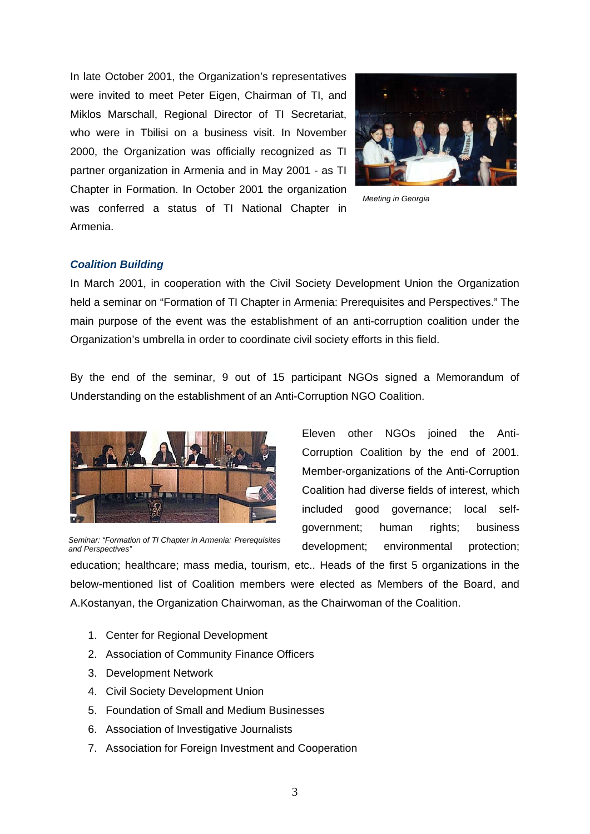In late October 2001, the Organization's representatives were invited to meet Peter Eigen, Chairman of TI, and Miklos Marschall, Regional Director of TI Secretariat, who were in Tbilisi on a business visit. In November 2000, the Organization was officially recognized as TI partner organization in Armenia and in May 2001 - as TI Chapter in Formation. In October 2001 the organization was conferred a status of TI National Chapter in Armenia.



*Meeting in Georgia* 

#### *Coalition Building*

In March 2001, in cooperation with the Civil Society Development Union the Organization held a seminar on "Formation of TI Chapter in Armenia: Prerequisites and Perspectives." The main purpose of the event was the establishment of an anti-corruption coalition under the Organization's umbrella in order to coordinate civil society efforts in this field.

By the end of the seminar, 9 out of 15 participant NGOs signed a Memorandum of Understanding on the establishment of an Anti-Corruption NGO Coalition.



*Seminar: "Formation of TI Chapter in Armenia: Prerequisites and Perspectives"* 

Eleven other NGOs joined the Anti-Corruption Coalition by the end of 2001. Member-organizations of the Anti-Corruption Coalition had diverse fields of interest, which included good governance; local selfgovernment; human rights; business development; environmental protection;

education; healthcare; mass media, tourism, etc.. Heads of the first 5 organizations in the below-mentioned list of Coalition members were elected as Members of the Board, and A.Kostanyan, the Organization Chairwoman, as the Chairwoman of the Coalition.

- 1. Center for Regional Development
- 2. Association of Community Finance Officers
- 3. Development Network
- 4. Civil Society Development Union
- 5. Foundation of Small and Medium Businesses
- 6. Association of Investigative Journalists
- 7. Association for Foreign Investment and Cooperation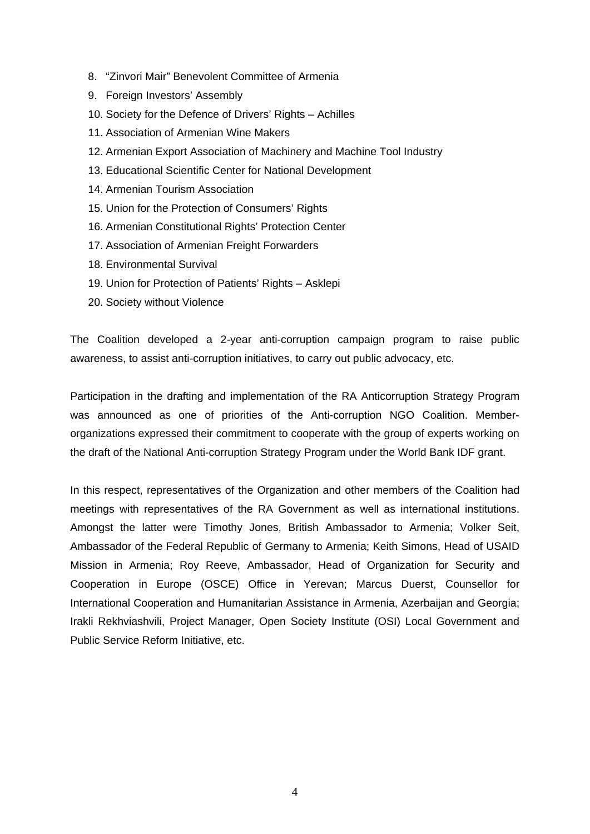- 8. "Zinvori Mair" Benevolent Committee of Armenia
- 9. Foreign Investors' Assembly
- 10. Society for the Defence of Drivers' Rights Achilles
- 11. Association of Armenian Wine Makers
- 12. Armenian Export Association of Machinery and Machine Tool Industry
- 13. Educational Scientific Center for National Development
- 14. Armenian Tourism Association
- 15. Union for the Protection of Consumers' Rights
- 16. Armenian Constitutional Rights' Protection Center
- 17. Association of Armenian Freight Forwarders
- 18. Environmental Survival
- 19. Union for Protection of Patients' Rights Asklepi
- 20. Society without Violence

The Coalition developed a 2-year anti-corruption campaign program to raise public awareness, to assist anti-corruption initiatives, to carry out public advocacy, etc.

Participation in the drafting and implementation of the RA Anticorruption Strategy Program was announced as one of priorities of the Anti-corruption NGO Coalition. Memberorganizations expressed their commitment to cooperate with the group of experts working on the draft of the National Anti-corruption Strategy Program under the World Bank IDF grant.

In this respect, representatives of the Organization and other members of the Coalition had meetings with representatives of the RA Government as well as international institutions. Amongst the latter were Timothy Jones, British Ambassador to Armenia; Volker Seit, Ambassador of the Federal Republic of Germany to Armenia; Keith Simons, Head of USAID Mission in Armenia; Roy Reeve, Ambassador, Head of Organization for Security and Cooperation in Europe (OSCE) Office in Yerevan; Marcus Duerst, Counsellor for International Cooperation and Humanitarian Assistance in Armenia, Azerbaijan and Georgia; Irakli Rekhviashvili, Project Manager, Open Society Institute (OSI) Local Government and Public Service Reform Initiative, etc.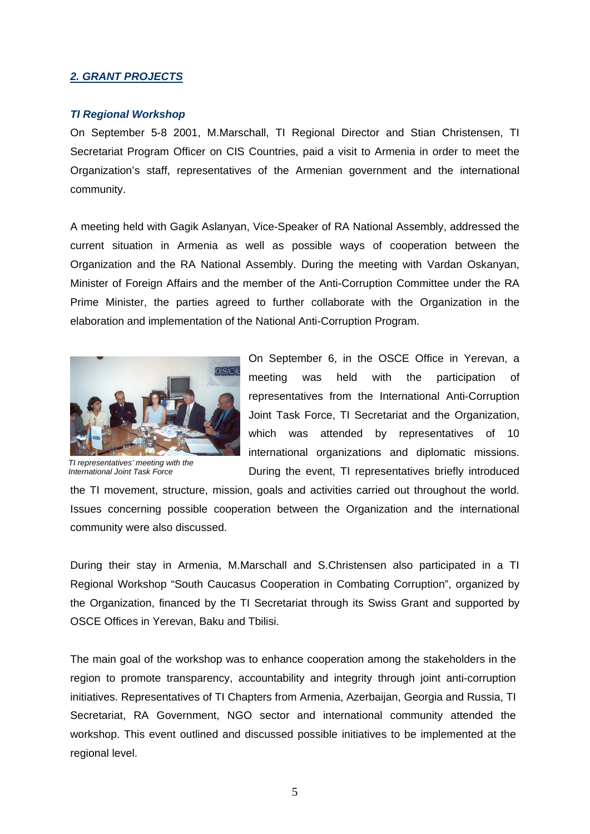## *2. GRANT PROJECTS*

#### *TI Regional Workshop*

On September 5-8 2001, M.Marschall, TI Regional Director and Stian Christensen, TI Secretariat Program Officer on CIS Countries, paid a visit to Armenia in order to meet the Organization's staff, representatives of the Armenian government and the international community.

A meeting held with Gagik Aslanyan, Vice-Speaker of RA National Assembly, addressed the current situation in Armenia as well as possible ways of cooperation between the Organization and the RA National Assembly. During the meeting with Vardan Oskanyan, Minister of Foreign Affairs and the member of the Anti-Corruption Committee under the RA Prime Minister, the parties agreed to further collaborate with the Organization in the elaboration and implementation of the National Anti-Corruption Program.



*TI representatives' meeting with the International Joint Task Force* 

On September 6, in the OSCE Office in Yerevan, a meeting was held with the participation of representatives from the International Anti-Corruption Joint Task Force, TI Secretariat and the Organization, which was attended by representatives of 10 international organizations and diplomatic missions. During the event, TI representatives briefly introduced

the TI movement, structure, mission, goals and activities carried out throughout the world. Issues concerning possible cooperation between the Organization and the international community were also discussed.

During their stay in Armenia, M.Marschall and S.Christensen also participated in a TI Regional Workshop "South Caucasus Cooperation in Combating Corruption", organized by the Organization, financed by the TI Secretariat through its Swiss Grant and supported by OSCE Offices in Yerevan, Baku and Tbilisi.

The main goal of the workshop was to enhance cooperation among the stakeholders in the region to promote transparency, accountability and integrity through joint anti-corruption initiatives. Representatives of TI Chapters from Armenia, Azerbaijan, Georgia and Russia, TI Secretariat, RA Government, NGO sector and international community attended the workshop. This event outlined and discussed possible initiatives to be implemented at the regional level.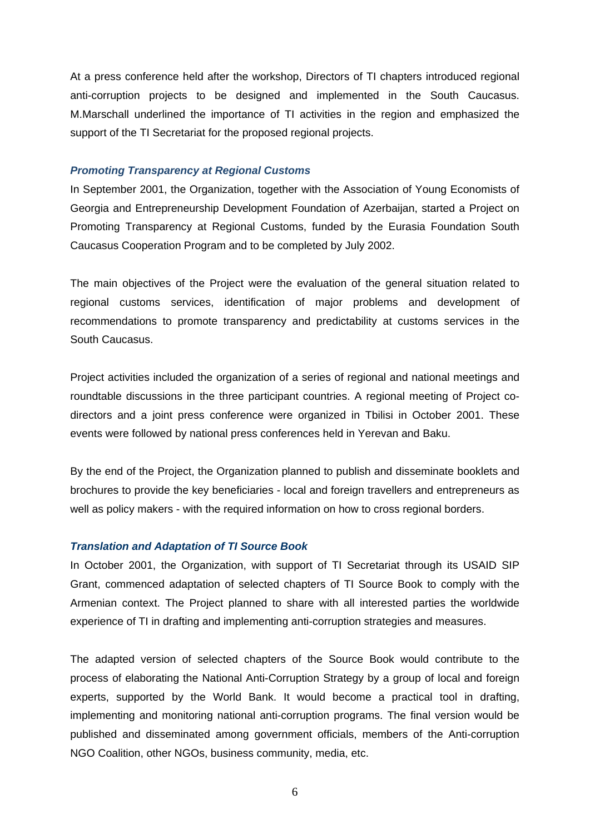At a press conference held after the workshop, Directors of TI chapters introduced regional anti-corruption projects to be designed and implemented in the South Caucasus. M.Marschall underlined the importance of TI activities in the region and emphasized the support of the TI Secretariat for the proposed regional projects.

#### *Promoting Transparency at Regional Customs*

In September 2001, the Organization, together with the Association of Young Economists of Georgia and Entrepreneurship Development Foundation of Azerbaijan, started a Project on Promoting Transparency at Regional Customs, funded by the Eurasia Foundation South Caucasus Cooperation Program and to be completed by July 2002.

The main objectives of the Project were the evaluation of the general situation related to regional customs services, identification of major problems and development of recommendations to promote transparency and predictability at customs services in the South Caucasus.

Project activities included the organization of a series of regional and national meetings and roundtable discussions in the three participant countries. A regional meeting of Project codirectors and a joint press conference were organized in Tbilisi in October 2001. These events were followed by national press conferences held in Yerevan and Baku.

By the end of the Project, the Organization planned to publish and disseminate booklets and brochures to provide the key beneficiaries - local and foreign travellers and entrepreneurs as well as policy makers - with the required information on how to cross regional borders.

#### *Translation and Adaptation of TI Source Book*

In October 2001, the Organization, with support of TI Secretariat through its USAID SIP Grant, commenced adaptation of selected chapters of TI Source Book to comply with the Armenian context. The Project planned to share with all interested parties the worldwide experience of TI in drafting and implementing anti-corruption strategies and measures.

The adapted version of selected chapters of the Source Book would contribute to the process of elaborating the National Anti-Corruption Strategy by a group of local and foreign experts, supported by the World Bank. It would become a practical tool in drafting, implementing and monitoring national anti-corruption programs. The final version would be published and disseminated among government officials, members of the Anti-corruption NGO Coalition, other NGOs, business community, media, etc.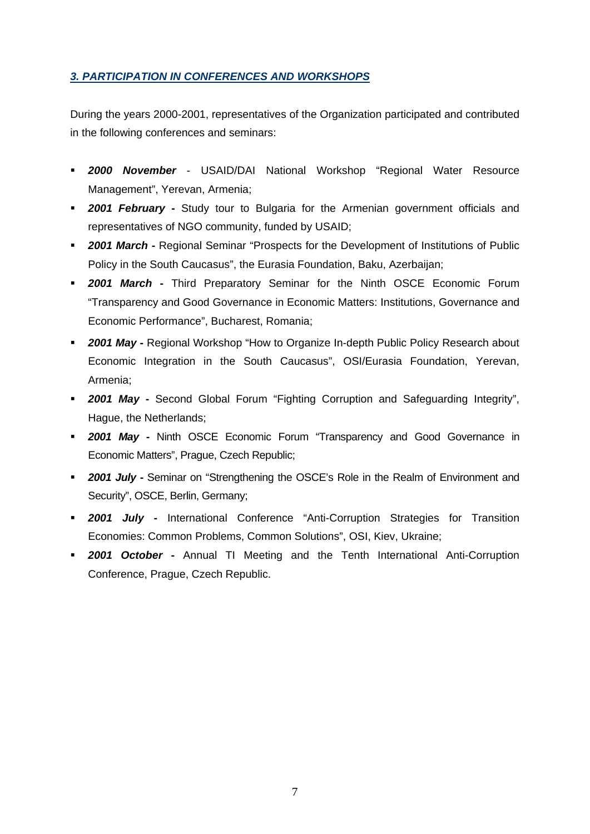## *3. PARTICIPATION IN CONFERENCES AND WORKSHOPS*

During the years 2000-2001, representatives of the Organization participated and contributed in the following conferences and seminars:

- *2000 November* USAID/DAI National Workshop "Regional Water Resource Management", Yerevan, Armenia;
- **2001 February -** Study tour to Bulgaria for the Armenian government officials and representatives of NGO community, funded by USAID;
- **2001 March Regional Seminar "Prospects for the Development of Institutions of Public** Policy in the South Caucasus", the Eurasia Foundation, Baku, Azerbaijan;
- **2001 March -** Third Preparatory Seminar for the Ninth OSCE Economic Forum "Transparency and Good Governance in Economic Matters: Institutions, Governance and Economic Performance", Bucharest, Romania;
- **2001 May -** Regional Workshop "How to Organize In-depth Public Policy Research about Economic Integration in the South Caucasus", OSI/Eurasia Foundation, Yerevan, Armenia;
- **2001 May -** Second Global Forum "Fighting Corruption and Safeguarding Integrity", Hague, the Netherlands;
- **2001 May Ninth OSCE Economic Forum "Transparency and Good Governance in** Economic Matters", Prague, Czech Republic;
- **2001 July Seminar on "Strengthening the OSCE's Role in the Realm of Environment and** Security", OSCE, Berlin, Germany;
- *2001 July* **-** International Conference "Anti-Corruption Strategies for Transition Economies: Common Problems, Common Solutions", OSI, Kiev, Ukraine;
- *2001 October* **-** Annual TI Meeting and the Tenth International Anti-Corruption Conference, Prague, Czech Republic.